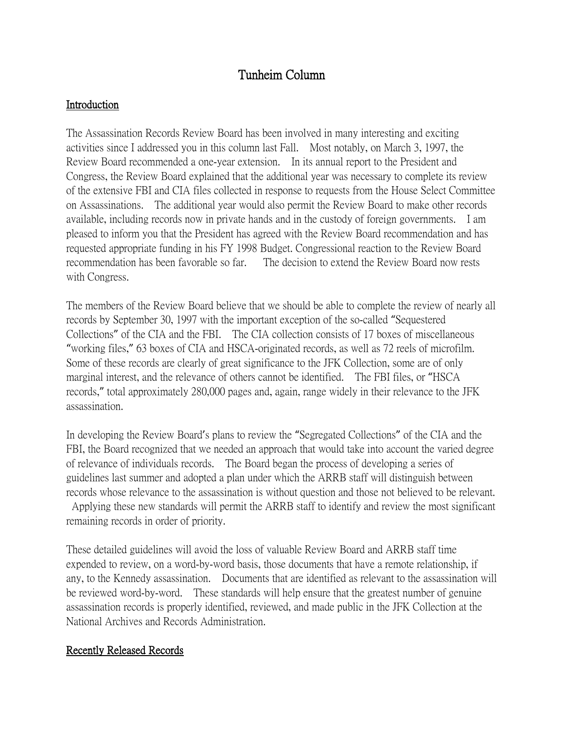# Tunheim Column

#### Introduction

The Assassination Records Review Board has been involved in many interesting and exciting activities since I addressed you in this column last Fall. Most notably, on March 3, 1997, the Review Board recommended a one-year extension. In its annual report to the President and Congress, the Review Board explained that the additional year was necessary to complete its review of the extensive FBI and CIA files collected in response to requests from the House Select Committee on Assassinations. The additional year would also permit the Review Board to make other records available, including records now in private hands and in the custody of foreign governments. I am pleased to inform you that the President has agreed with the Review Board recommendation and has requested appropriate funding in his FY 1998 Budget. Congressional reaction to the Review Board recommendation has been favorable so far. The decision to extend the Review Board now rests with Congress.

The members of the Review Board believe that we should be able to complete the review of nearly all records by September 30, 1997 with the important exception of the so-called "Sequestered Collections" of the CIA and the FBI. The CIA collection consists of 17 boxes of miscellaneous "working files," 63 boxes of CIA and HSCA-originated records, as well as 72 reels of microfilm. Some of these records are clearly of great significance to the JFK Collection, some are of only marginal interest, and the relevance of others cannot be identified. The FBI files, or "HSCA records," total approximately 280,000 pages and, again, range widely in their relevance to the JFK assassination.

In developing the Review Board's plans to review the "Segregated Collections" of the CIA and the FBI, the Board recognized that we needed an approach that would take into account the varied degree of relevance of individuals records. The Board began the process of developing a series of guidelines last summer and adopted a plan under which the ARRB staff will distinguish between records whose relevance to the assassination is without question and those not believed to be relevant. Applying these new standards will permit the ARRB staff to identify and review the most significant

remaining records in order of priority.

These detailed guidelines will avoid the loss of valuable Review Board and ARRB staff time expended to review, on a word-by-word basis, those documents that have a remote relationship, if any, to the Kennedy assassination. Documents that are identified as relevant to the assassination will be reviewed word-by-word. These standards will help ensure that the greatest number of genuine assassination records is properly identified, reviewed, and made public in the JFK Collection at the National Archives and Records Administration.

### Recently Released Records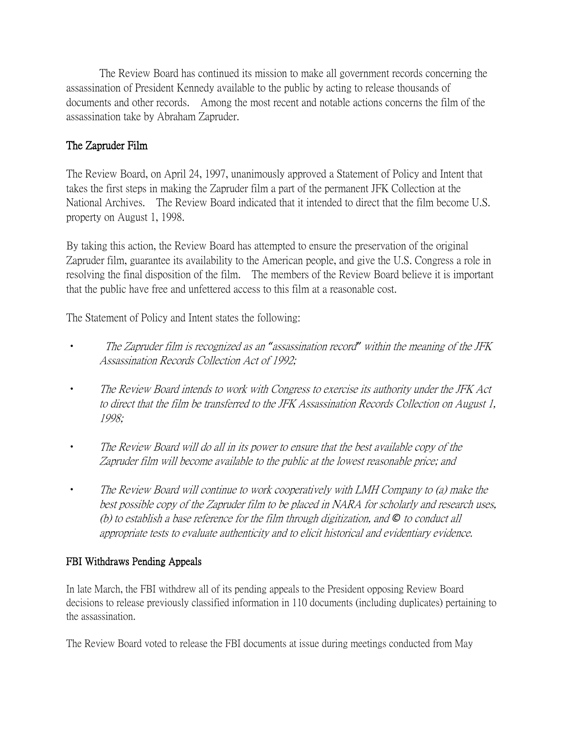The Review Board has continued its mission to make all government records concerning the assassination of President Kennedy available to the public by acting to release thousands of documents and other records. Among the most recent and notable actions concerns the film of the assassination take by Abraham Zapruder.

## The Zapruder Film

The Review Board, on April 24, 1997, unanimously approved a Statement of Policy and Intent that takes the first steps in making the Zapruder film a part of the permanent JFK Collection at the National Archives. The Review Board indicated that it intended to direct that the film become U.S. property on August 1, 1998.

By taking this action, the Review Board has attempted to ensure the preservation of the original Zapruder film, guarantee its availability to the American people, and give the U.S. Congress a role in resolving the final disposition of the film. The members of the Review Board believe it is important that the public have free and unfettered access to this film at a reasonable cost.

The Statement of Policy and Intent states the following:

- The Zapruder film is recognized as an *"*assassination record*"* within the meaning of the JFK Assassination Records Collection Act of 1992;
- The Review Board intends to work with Congress to exercise its authority under the JFK Act to direct that the film be transferred to the JFK Assassination Records Collection on August 1, 1998;
- The Review Board will do all in its power to ensure that the best available copy of the Zapruder film will become available to the public at the lowest reasonable price; and
- The Review Board will continue to work cooperatively with LMH Company to (a) make the best possible copy of the Zapruder film to be placed in NARA for scholarly and research uses, (b) to establish a base reference for the film through digitization, and *©* to conduct all appropriate tests to evaluate authenticity and to elicit historical and evidentiary evidence.

### FBI Withdraws Pending Appeals

In late March, the FBI withdrew all of its pending appeals to the President opposing Review Board decisions to release previously classified information in 110 documents (including duplicates) pertaining to the assassination.

The Review Board voted to release the FBI documents at issue during meetings conducted from May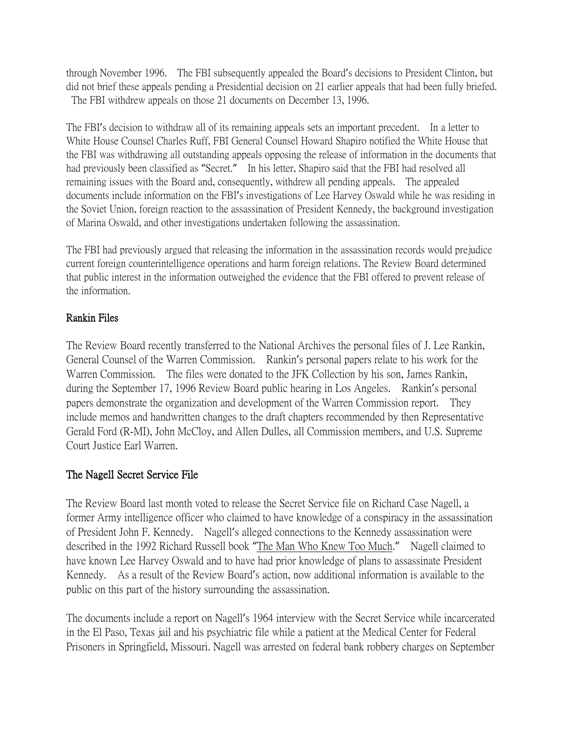through November 1996. The FBI subsequently appealed the Board's decisions to President Clinton, but did not brief these appeals pending a Presidential decision on 21 earlier appeals that had been fully briefed. The FBI withdrew appeals on those 21 documents on December 13, 1996.

The FBI's decision to withdraw all of its remaining appeals sets an important precedent. In a letter to White House Counsel Charles Ruff, FBI General Counsel Howard Shapiro notified the White House that the FBI was withdrawing all outstanding appeals opposing the release of information in the documents that had previously been classified as "Secret." In his letter, Shapiro said that the FBI had resolved all remaining issues with the Board and, consequently, withdrew all pending appeals. The appealed documents include information on the FBI's investigations of Lee Harvey Oswald while he was residing in the Soviet Union, foreign reaction to the assassination of President Kennedy, the background investigation of Marina Oswald, and other investigations undertaken following the assassination.

The FBI had previously argued that releasing the information in the assassination records would prejudice current foreign counterintelligence operations and harm foreign relations. The Review Board determined that public interest in the information outweighed the evidence that the FBI offered to prevent release of the information.

### Rankin Files

The Review Board recently transferred to the National Archives the personal files of J. Lee Rankin, General Counsel of the Warren Commission. Rankin's personal papers relate to his work for the Warren Commission. The files were donated to the JFK Collection by his son, James Rankin, during the September 17, 1996 Review Board public hearing in Los Angeles. Rankin's personal papers demonstrate the organization and development of the Warren Commission report. They include memos and handwritten changes to the draft chapters recommended by then Representative Gerald Ford (R-MI), John McCloy, and Allen Dulles, all Commission members, and U.S. Supreme Court Justice Earl Warren.

### The Nagell Secret Service File

The Review Board last month voted to release the Secret Service file on Richard Case Nagell, a former Army intelligence officer who claimed to have knowledge of a conspiracy in the assassination of President John F. Kennedy. Nagell's alleged connections to the Kennedy assassination were described in the 1992 Richard Russell book "The Man Who Knew Too Much." Nagell claimed to have known Lee Harvey Oswald and to have had prior knowledge of plans to assassinate President Kennedy. As a result of the Review Board's action, now additional information is available to the public on this part of the history surrounding the assassination.

The documents include a report on Nagell's 1964 interview with the Secret Service while incarcerated in the El Paso, Texas jail and his psychiatric file while a patient at the Medical Center for Federal Prisoners in Springfield, Missouri. Nagell was arrested on federal bank robbery charges on September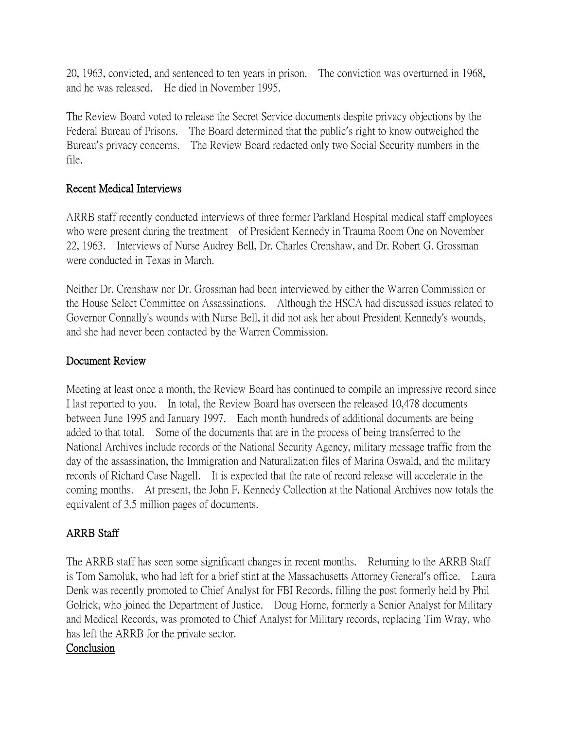20, 1963, convicted, and sentenced to ten years in prison. The conviction was overturned in 1968, and he was released. He died in November 1995.

The Review Board voted to release the Secret Service documents despite privacy objections by the Federal Bureau of Prisons. The Board determined that the public's right to know outweighed the Bureau's privacy concerns. The Review Board redacted only two Social Security numbers in the file.

### Recent Medical Interviews

ARRB staff recently conducted interviews of three former Parkland Hospital medical staff employees who were present during the treatment of President Kennedy in Trauma Room One on November 22, 1963. Interviews of Nurse Audrey Bell, Dr. Charles Crenshaw, and Dr. Robert G. Grossman were conducted in Texas in March.

Neither Dr. Crenshaw nor Dr. Grossman had been interviewed by either the Warren Commission or the House Select Committee on Assassinations. Although the HSCA had discussed issues related to Governor Connally's wounds with Nurse Bell, it did not ask her about President Kennedy's wounds, and she had never been contacted by the Warren Commission.

### Document Review

Meeting at least once a month, the Review Board has continued to compile an impressive record since I last reported to you. In total, the Review Board has overseen the released 10,478 documents between June 1995 and January 1997. Each month hundreds of additional documents are being added to that total. Some of the documents that are in the process of being transferred to the National Archives include records of the National Security Agency, military message traffic from the day of the assassination, the Immigration and Naturalization files of Marina Oswald, and the military records of Richard Case Nagell. It is expected that the rate of record release will accelerate in the coming months. At present, the John F. Kennedy Collection at the National Archives now totals the equivalent of 3.5 million pages of documents.

### ARRB Staff

The ARRB staff has seen some significant changes in recent months. Returning to the ARRB Staff is Tom Samoluk, who had left for a brief stint at the Massachusetts Attorney General's office. Laura Denk was recently promoted to Chief Analyst for FBI Records, filling the post formerly held by Phil Golrick, who joined the Department of Justice. Doug Horne, formerly a Senior Analyst for Military and Medical Records, was promoted to Chief Analyst for Military records, replacing Tim Wray, who has left the ARRB for the private sector.

### Conclusion